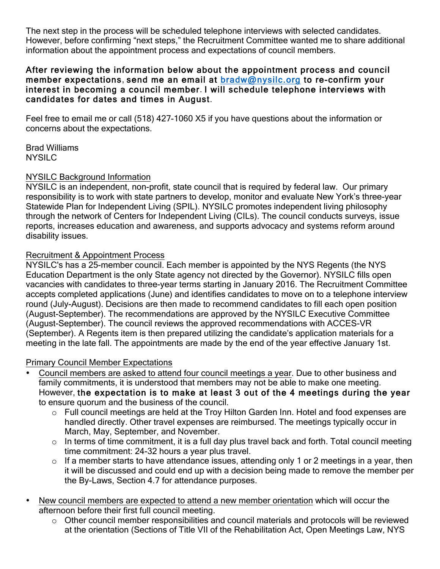The next step in the process will be scheduled telephone interviews with selected candidates. However, before confirming "next steps," the Recruitment Committee wanted me to share additional information about the appointment process and expectations of council members.

#### After reviewing the information below about the appointment process and council member expectations, send me an email at [bradw@nysilc.org](mailto:bradw@nysilc.org) to re-confirm your interest in becoming a council member. I will schedule telephone interviews with candidates for dates and times in August.

Feel free to email me or call (518) 427-1060 X5 if you have questions about the information or concerns about the expectations.

Brad Williams **NYSILC** 

### NYSILC Background Information

NYSILC is an independent, non-profit, state council that is required by federal law. Our primary responsibility is to work with state partners to develop, monitor and evaluate New York's three-year Statewide Plan for Independent Living (SPIL). NYSILC promotes independent living philosophy through the network of Centers for Independent Living (CILs). The council conducts surveys, issue reports, increases education and awareness, and supports advocacy and systems reform around disability issues.

# Recruitment & Appointment Process

NYSILC's has a 25-member council. Each member is appointed by the NYS Regents (the NYS Education Department is the only State agency not directed by the Governor). NYSILC fills open vacancies with candidates to three-year terms starting in January 2016. The Recruitment Committee accepts completed applications (June) and identifies candidates to move on to a telephone interview round (July-August). Decisions are then made to recommend candidates to fill each open position (August-September). The recommendations are approved by the NYSILC Executive Committee (August-September). The council reviews the approved recommendations with ACCES-VR (September). A Regents item is then prepared utilizing the candidate's application materials for a meeting in the late fall. The appointments are made by the end of the year effective January 1st.

### Primary Council Member Expectations

- Council members are asked to attend four council meetings a year. Due to other business and family commitments, it is understood that members may not be able to make one meeting. However, the expectation is to make at least 3 out of the 4 meetings during the year to ensure quorum and the business of the council.
	- o Full council meetings are held at the Troy Hilton Garden Inn. Hotel and food expenses are handled directly. Other travel expenses are reimbursed. The meetings typically occur in March, May, September, and November.
	- $\circ$  In terms of time commitment, it is a full day plus travel back and forth. Total council meeting time commitment: 24-32 hours a year plus travel.
	- $\circ$  If a member starts to have attendance issues, attending only 1 or 2 meetings in a year, then it will be discussed and could end up with a decision being made to remove the member per the By-Laws, Section 4.7 for attendance purposes.
- New council members are expected to attend a new member orientation which will occur the afternoon before their first full council meeting.
	- o Other council member responsibilities and council materials and protocols will be reviewed at the orientation (Sections of Title VII of the Rehabilitation Act, Open Meetings Law, NYS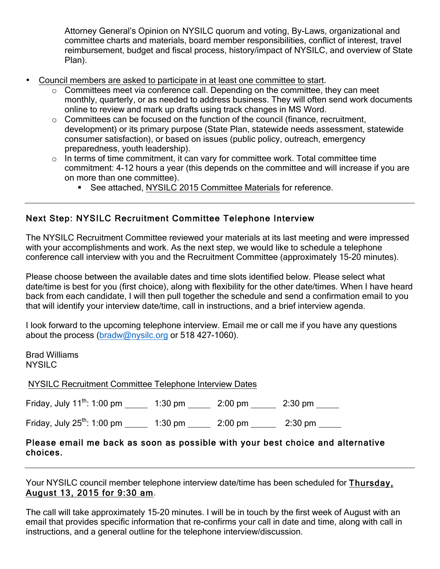Attorney General's Opinion on NYSILC quorum and voting, By-Laws, organizational and committee charts and materials, board member responsibilities, conflict of interest, travel reimbursement, budget and fiscal process, history/impact of NYSILC, and overview of State Plan).

- Council members are asked to participate in at least one committee to start.
	- o Committees meet via conference call. Depending on the committee, they can meet monthly, quarterly, or as needed to address business. They will often send work documents online to review and mark up drafts using track changes in MS Word.
	- $\circ$  Committees can be focused on the function of the council (finance, recruitment, development) or its primary purpose (State Plan, statewide needs assessment, statewide consumer satisfaction), or based on issues (public policy, outreach, emergency preparedness, youth leadership).
	- $\circ$  In terms of time commitment, it can vary for committee work. Total committee time commitment: 4-12 hours a year (this depends on the committee and will increase if you are on more than one committee).
		- **EXEC** See attached, NYSILC 2015 Committee Materials for reference.

# Next Step: NYSILC Recruitment Committee Telephone Interview

The NYSILC Recruitment Committee reviewed your materials at its last meeting and were impressed with your accomplishments and work. As the next step, we would like to schedule a telephone conference call interview with you and the Recruitment Committee (approximately 15-20 minutes).

Please choose between the available dates and time slots identified below. Please select what date/time is best for you (first choice), along with flexibility for the other date/times. When I have heard back from each candidate, I will then pull together the schedule and send a confirmation email to you that will identify your interview date/time, call in instructions, and a brief interview agenda.

I look forward to the upcoming telephone interview. Email me or call me if you have any questions about the process [\(bradw@nysilc.org](mailto:bradw@nysilc.org) or 518 427-1060).

Brad Williams NYSILC

NYSILC Recruitment Committee Telephone Interview Dates

| Friday, July $11^{th}$ : 1:00 pm | $1:30 \text{ pm}$ | $2:00$ pm | $2:30$ pm |
|----------------------------------|-------------------|-----------|-----------|
|                                  |                   |           |           |

Friday, July  $25^{th}$ : 1:00 pm  $1:30 \text{ pm}$  2:00 pm  $2:30 \text{ pm}$ 

#### Please email me back as soon as possible with your best choice and alternative choices.

Your NYSILC council member telephone interview date/time has been scheduled for Thursday, August 13, 2015 for 9:30 am.

The call will take approximately 15-20 minutes. I will be in touch by the first week of August with an email that provides specific information that re-confirms your call in date and time, along with call in instructions, and a general outline for the telephone interview/discussion.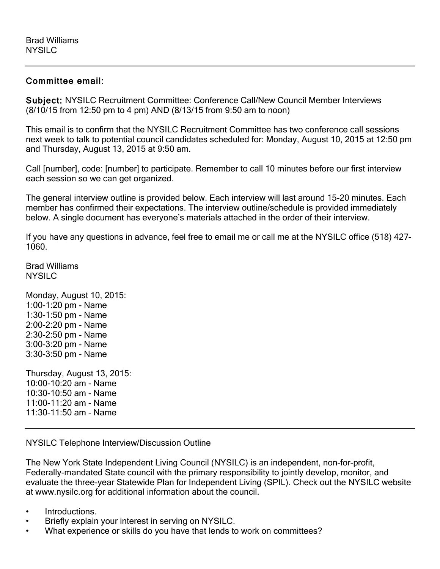### Committee email:

Subject: NYSILC Recruitment Committee: Conference Call/New Council Member Interviews (8/10/15 from 12:50 pm to 4 pm) AND (8/13/15 from 9:50 am to noon)

This email is to confirm that the NYSILC Recruitment Committee has two conference call sessions next week to talk to potential council candidates scheduled for: Monday, August 10, 2015 at 12:50 pm and Thursday, August 13, 2015 at 9:50 am.

Call [number], code: [number] to participate. Remember to call 10 minutes before our first interview each session so we can get organized.

The general interview outline is provided below. Each interview will last around 15-20 minutes. Each member has confirmed their expectations. The interview outline/schedule is provided immediately below. A single document has everyone's materials attached in the order of their interview.

If you have any questions in advance, feel free to email me or call me at the NYSILC office (518) 427- 1060.

Brad Williams **NYSILC** 

Monday, August 10, 2015: 1:00-1:20 pm - Name 1:30-1:50 pm - Name 2:00-2:20 pm - Name 2:30-2:50 pm - Name 3:00-3:20 pm - Name 3:30-3:50 pm - Name Thursday, August 13, 2015:

10:00-10:20 am - Name 10:30-10:50 am - Name 11:00-11:20 am - Name 11:30-11:50 am - Name

NYSILC Telephone Interview/Discussion Outline

The New York State Independent Living Council (NYSILC) is an independent, non-for-profit, Federally-mandated State council with the primary responsibility to jointly develop, monitor, and evaluate the three-year Statewide Plan for Independent Living (SPIL). Check out the NYSILC website at www.nysilc.org for additional information about the council.

- Introductions.
- Briefly explain your interest in serving on NYSILC.
- What experience or skills do you have that lends to work on committees?